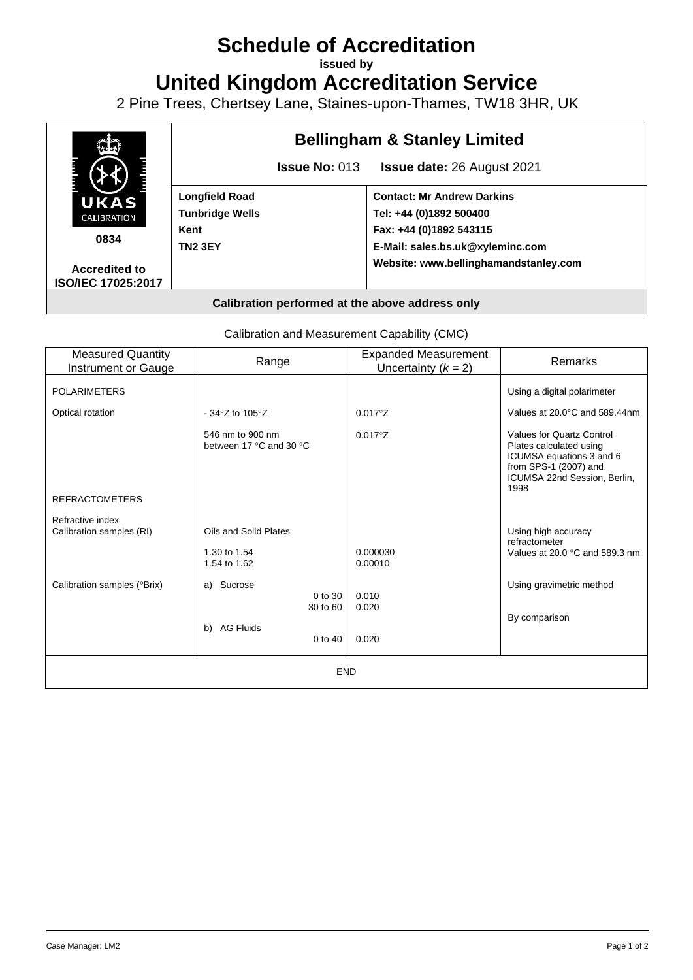# **Schedule of Accreditation**

**issued by**

**United Kingdom Accreditation Service**

2 Pine Trees, Chertsey Lane, Staines-upon-Thames, TW18 3HR, UK



Calibration and Measurement Capability (CMC)

| <b>Measured Quantity</b><br>Instrument or Gauge | Range                                       | <b>Expanded Measurement</b><br>Uncertainty $(k = 2)$ | Remarks                                                                                                                                           |
|-------------------------------------------------|---------------------------------------------|------------------------------------------------------|---------------------------------------------------------------------------------------------------------------------------------------------------|
| <b>POLARIMETERS</b>                             |                                             |                                                      | Using a digital polarimeter                                                                                                                       |
| Optical rotation                                | - 34 $\textdegree$ Z to 105 $\textdegree$ Z | $0.017^{\circ}Z$                                     | Values at 20.0°C and 589.44nm                                                                                                                     |
| <b>REFRACTOMETERS</b>                           | 546 nm to 900 nm<br>between 17 °C and 30 °C | $0.017^{\circ}Z$                                     | Values for Quartz Control<br>Plates calculated using<br>ICUMSA equations 3 and 6<br>from SPS-1 (2007) and<br>ICUMSA 22nd Session, Berlin,<br>1998 |
| Refractive index                                |                                             |                                                      |                                                                                                                                                   |
| Calibration samples (RI)                        | Oils and Solid Plates                       |                                                      | Using high accuracy<br>refractometer                                                                                                              |
|                                                 | 1.30 to 1.54<br>1.54 to 1.62                | 0.000030<br>0.00010                                  | Values at 20.0 $\degree$ C and 589.3 nm                                                                                                           |
| Calibration samples (°Brix)                     | Sucrose<br>a)<br>0 to 30<br>30 to 60        | 0.010<br>0.020                                       | Using gravimetric method<br>By comparison                                                                                                         |
|                                                 | <b>AG Fluids</b><br>b)<br>$0$ to $40$       | 0.020                                                |                                                                                                                                                   |
| <b>END</b>                                      |                                             |                                                      |                                                                                                                                                   |